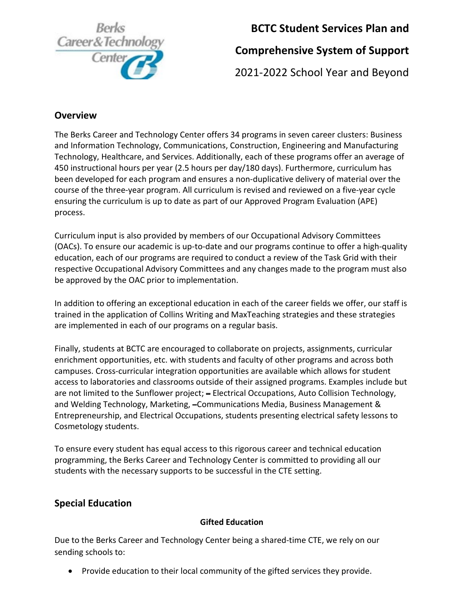

# **BCTC Student Services Plan and**

# **Comprehensive System of Support**

2021-2022 School Year and Beyond

## **Overview**

The Berks Career and Technology Center offers 34 programs in seven career clusters: Business and Information Technology, Communications, Construction, Engineering and Manufacturing Technology, Healthcare, and Services. Additionally, each of these programs offer an average of 450 instructional hours per year (2.5 hours per day/180 days). Furthermore, curriculum has been developed for each program and ensures a non-duplicative delivery of material over the course of the three-year program. All curriculum is revised and reviewed on a five-year cycle ensuring the curriculum is up to date as part of our Approved Program Evaluation (APE) process.

Curriculum input is also provided by members of our Occupational Advisory Committees (OACs). To ensure our academic is up-to-date and our programs continue to offer a high-quality education, each of our programs are required to conduct a review of the Task Grid with their respective Occupational Advisory Committees and any changes made to the program must also be approved by the OAC prior to implementation.

In addition to offering an exceptional education in each of the career fields we offer, our staff is trained in the application of Collins Writing and MaxTeaching strategies and these strategies are implemented in each of our programs on a regular basis.

Finally, students at BCTC are encouraged to collaborate on projects, assignments, curricular enrichment opportunities, etc. with students and faculty of other programs and across both campuses. Cross-curricular integration opportunities are available which allows for student access to laboratories and classrooms outside of their assigned programs. Examples include but are not limited to the Sunflower project; – Electrical Occupations, Auto Collision Technology, and Welding Technology, Marketing, –Communications Media, Business Management & Entrepreneurship, and Electrical Occupations, students presenting electrical safety lessons to Cosmetology students.

To ensure every student has equal access to this rigorous career and technical education programming, the Berks Career and Technology Center is committed to providing all our students with the necessary supports to be successful in the CTE setting.

## **Special Education**

#### **Gifted Education**

Due to the Berks Career and Technology Center being a shared-time CTE, we rely on our sending schools to:

• Provide education to their local community of the gifted services they provide.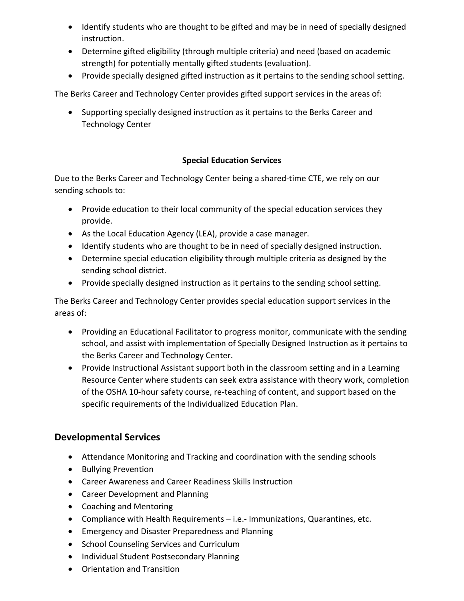- Identify students who are thought to be gifted and may be in need of specially designed instruction.
- Determine gifted eligibility (through multiple criteria) and need (based on academic strength) for potentially mentally gifted students (evaluation).
- Provide specially designed gifted instruction as it pertains to the sending school setting.

The Berks Career and Technology Center provides gifted support services in the areas of:

• Supporting specially designed instruction as it pertains to the Berks Career and Technology Center

#### **Special Education Services**

Due to the Berks Career and Technology Center being a shared-time CTE, we rely on our sending schools to:

- Provide education to their local community of the special education services they provide.
- As the Local Education Agency (LEA), provide a case manager.
- Identify students who are thought to be in need of specially designed instruction.
- Determine special education eligibility through multiple criteria as designed by the sending school district.
- Provide specially designed instruction as it pertains to the sending school setting.

The Berks Career and Technology Center provides special education support services in the areas of:

- Providing an Educational Facilitator to progress monitor, communicate with the sending school, and assist with implementation of Specially Designed Instruction as it pertains to the Berks Career and Technology Center.
- Provide Instructional Assistant support both in the classroom setting and in a Learning Resource Center where students can seek extra assistance with theory work, completion of the OSHA 10-hour safety course, re-teaching of content, and support based on the specific requirements of the Individualized Education Plan.

#### **Developmental Services**

- Attendance Monitoring and Tracking and coordination with the sending schools
- Bullying Prevention
- Career Awareness and Career Readiness Skills Instruction
- Career Development and Planning
- Coaching and Mentoring
- Compliance with Health Requirements i.e.- Immunizations, Quarantines, etc.
- Emergency and Disaster Preparedness and Planning
- School Counseling Services and Curriculum
- Individual Student Postsecondary Planning
- Orientation and Transition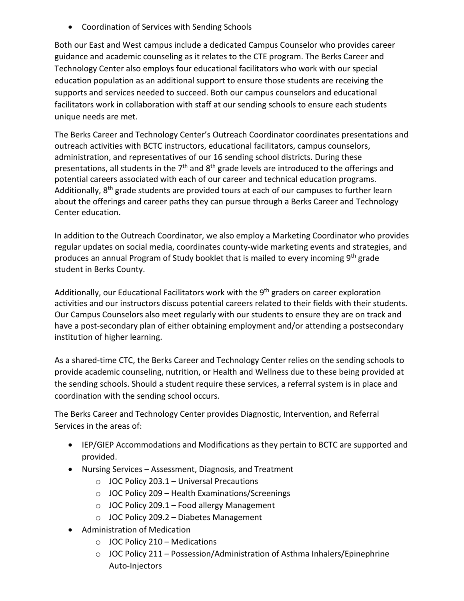• Coordination of Services with Sending Schools

Both our East and West campus include a dedicated Campus Counselor who provides career guidance and academic counseling as it relates to the CTE program. The Berks Career and Technology Center also employs four educational facilitators who work with our special education population as an additional support to ensure those students are receiving the supports and services needed to succeed. Both our campus counselors and educational facilitators work in collaboration with staff at our sending schools to ensure each students unique needs are met.

The Berks Career and Technology Center's Outreach Coordinator coordinates presentations and outreach activities with BCTC instructors, educational facilitators, campus counselors, administration, and representatives of our 16 sending school districts. During these presentations, all students in the 7<sup>th</sup> and 8<sup>th</sup> grade levels are introduced to the offerings and potential careers associated with each of our career and technical education programs. Additionally, 8th grade students are provided tours at each of our campuses to further learn about the offerings and career paths they can pursue through a Berks Career and Technology Center education.

In addition to the Outreach Coordinator, we also employ a Marketing Coordinator who provides regular updates on social media, coordinates county-wide marketing events and strategies, and produces an annual Program of Study booklet that is mailed to every incoming 9<sup>th</sup> grade student in Berks County.

Additionally, our Educational Facilitators work with the  $9<sup>th</sup>$  graders on career exploration activities and our instructors discuss potential careers related to their fields with their students. Our Campus Counselors also meet regularly with our students to ensure they are on track and have a post-secondary plan of either obtaining employment and/or attending a postsecondary institution of higher learning.

As a shared-time CTC, the Berks Career and Technology Center relies on the sending schools to provide academic counseling, nutrition, or Health and Wellness due to these being provided at the sending schools. Should a student require these services, a referral system is in place and coordination with the sending school occurs.

The Berks Career and Technology Center provides Diagnostic, Intervention, and Referral Services in the areas of:

- IEP/GIEP Accommodations and Modifications as they pertain to BCTC are supported and provided.
- Nursing Services Assessment, Diagnosis, and Treatment
	- $\circ$  JOC Policy 203.1 Universal Precautions
	- o JOC Policy 209 Health Examinations/Screenings
	- o JOC Policy 209.1 Food allergy Management
	- o JOC Policy 209.2 Diabetes Management
- Administration of Medication
	- $\circ$  JOC Policy 210 Medications
	- $\circ$  JOC Policy 211 Possession/Administration of Asthma Inhalers/Epinephrine Auto-Injectors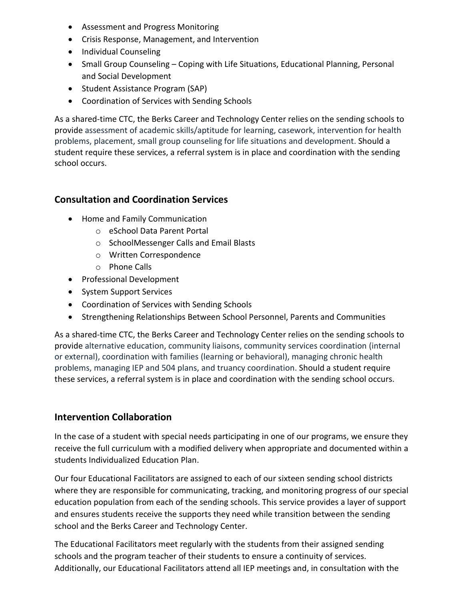- Assessment and Progress Monitoring
- Crisis Response, Management, and Intervention
- Individual Counseling
- Small Group Counseling Coping with Life Situations, Educational Planning, Personal and Social Development
- Student Assistance Program (SAP)
- Coordination of Services with Sending Schools

As a shared-time CTC, the Berks Career and Technology Center relies on the sending schools to provide assessment of academic skills/aptitude for learning, casework, intervention for health problems, placement, small group counseling for life situations and development. Should a student require these services, a referral system is in place and coordination with the sending school occurs.

### **Consultation and Coordination Services**

- Home and Family Communication
	- o eSchool Data Parent Portal
	- o SchoolMessenger Calls and Email Blasts
	- o Written Correspondence
	- o Phone Calls
- Professional Development
- System Support Services
- Coordination of Services with Sending Schools
- Strengthening Relationships Between School Personnel, Parents and Communities

As a shared-time CTC, the Berks Career and Technology Center relies on the sending schools to provide alternative education, community liaisons, community services coordination (internal or external), coordination with families (learning or behavioral), managing chronic health problems, managing IEP and 504 plans, and truancy coordination. Should a student require these services, a referral system is in place and coordination with the sending school occurs.

#### **Intervention Collaboration**

In the case of a student with special needs participating in one of our programs, we ensure they receive the full curriculum with a modified delivery when appropriate and documented within a students Individualized Education Plan.

Our four Educational Facilitators are assigned to each of our sixteen sending school districts where they are responsible for communicating, tracking, and monitoring progress of our special education population from each of the sending schools. This service provides a layer of support and ensures students receive the supports they need while transition between the sending school and the Berks Career and Technology Center.

The Educational Facilitators meet regularly with the students from their assigned sending schools and the program teacher of their students to ensure a continuity of services. Additionally, our Educational Facilitators attend all IEP meetings and, in consultation with the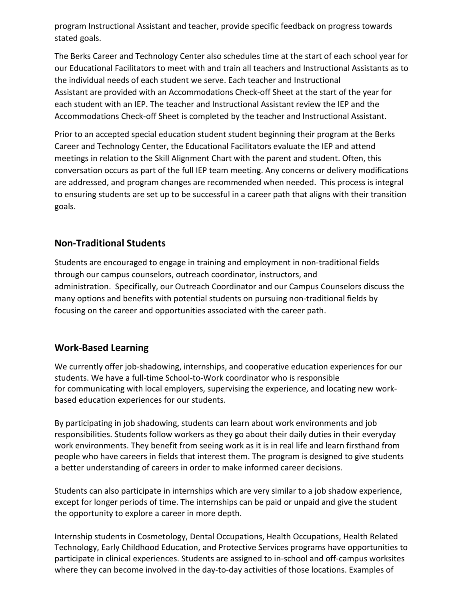program Instructional Assistant and teacher, provide specific feedback on progress towards stated goals.

The Berks Career and Technology Center also schedules time at the start of each school year for our Educational Facilitators to meet with and train all teachers and Instructional Assistants as to the individual needs of each student we serve. Each teacher and Instructional Assistant are provided with an Accommodations Check-off Sheet at the start of the year for each student with an IEP. The teacher and Instructional Assistant review the IEP and the Accommodations Check-off Sheet is completed by the teacher and Instructional Assistant.

Prior to an accepted special education student student beginning their program at the Berks Career and Technology Center, the Educational Facilitators evaluate the IEP and attend meetings in relation to the Skill Alignment Chart with the parent and student. Often, this conversation occurs as part of the full IEP team meeting. Any concerns or delivery modifications are addressed, and program changes are recommended when needed.  This process is integral to ensuring students are set up to be successful in a career path that aligns with their transition goals.

### **Non-Traditional Students**

Students are encouraged to engage in training and employment in non-traditional fields through our campus counselors, outreach coordinator, instructors, and administration. Specifically, our Outreach Coordinator and our Campus Counselors discuss the many options and benefits with potential students on pursuing non-traditional fields by focusing on the career and opportunities associated with the career path.

#### **Work-Based Learning**

We currently offer job-shadowing, internships, and cooperative education experiences for our students. We have a full-time School-to-Work coordinator who is responsible for communicating with local employers, supervising the experience, and locating new workbased education experiences for our students.

By participating in job shadowing, students can learn about work environments and job responsibilities. Students follow workers as they go about their daily duties in their everyday work environments. They benefit from seeing work as it is in real life and learn firsthand from people who have careers in fields that interest them. The program is designed to give students a better understanding of careers in order to make informed career decisions.

Students can also participate in internships which are very similar to a job shadow experience, except for longer periods of time. The internships can be paid or unpaid and give the student the opportunity to explore a career in more depth.

Internship students in Cosmetology, Dental Occupations, Health Occupations, Health Related Technology, Early Childhood Education, and Protective Services programs have opportunities to participate in clinical experiences. Students are assigned to in-school and off-campus worksites where they can become involved in the day-to-day activities of those locations. Examples of